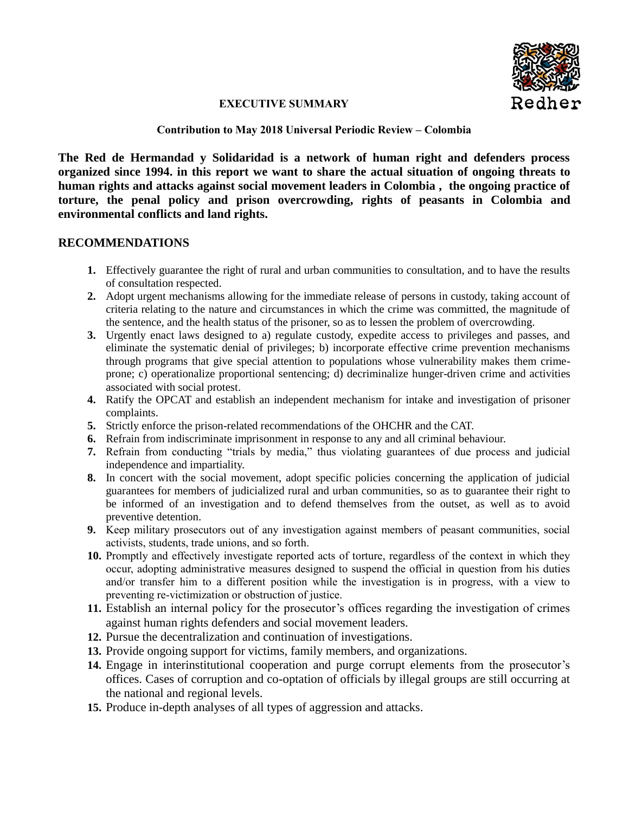

## **EXECUTIVE SUMMARY**

## **Contribution to May 2018 Universal Periodic Review – Colombia**

**The Red de Hermandad y Solidaridad is a network of human right and defenders process organized since 1994. in this report we want to share the actual situation of ongoing threats to human rights and attacks against social movement leaders in Colombia , the ongoing practice of torture, the penal policy and prison overcrowding, rights of peasants in Colombia and environmental conflicts and land rights.**

## **RECOMMENDATIONS**

- **1.** Effectively guarantee the right of rural and urban communities to consultation, and to have the results of consultation respected.
- **2.** Adopt urgent mechanisms allowing for the immediate release of persons in custody, taking account of criteria relating to the nature and circumstances in which the crime was committed, the magnitude of the sentence, and the health status of the prisoner, so as to lessen the problem of overcrowding.
- **3.** Urgently enact laws designed to a) regulate custody, expedite access to privileges and passes, and eliminate the systematic denial of privileges; b) incorporate effective crime prevention mechanisms through programs that give special attention to populations whose vulnerability makes them crimeprone; c) operationalize proportional sentencing; d) decriminalize hunger-driven crime and activities associated with social protest.
- **4.** Ratify the OPCAT and establish an independent mechanism for intake and investigation of prisoner complaints.
- **5.** Strictly enforce the prison-related recommendations of the OHCHR and the CAT.
- **6.** Refrain from indiscriminate imprisonment in response to any and all criminal behaviour.
- **7.** Refrain from conducting "trials by media," thus violating guarantees of due process and judicial independence and impartiality.
- **8.** In concert with the social movement, adopt specific policies concerning the application of judicial guarantees for members of judicialized rural and urban communities, so as to guarantee their right to be informed of an investigation and to defend themselves from the outset, as well as to avoid preventive detention.
- **9.** Keep military prosecutors out of any investigation against members of peasant communities, social activists, students, trade unions, and so forth.
- **10.** Promptly and effectively investigate reported acts of torture, regardless of the context in which they occur, adopting administrative measures designed to suspend the official in question from his duties and/or transfer him to a different position while the investigation is in progress, with a view to preventing re-victimization or obstruction of justice.
- **11.** Establish an internal policy for the prosecutor's offices regarding the investigation of crimes against human rights defenders and social movement leaders.
- **12.** Pursue the decentralization and continuation of investigations.
- **13.** Provide ongoing support for victims, family members, and organizations.
- **14.** Engage in interinstitutional cooperation and purge corrupt elements from the prosecutor's offices. Cases of corruption and co-optation of officials by illegal groups are still occurring at the national and regional levels.
- **15.** Produce in-depth analyses of all types of aggression and attacks.